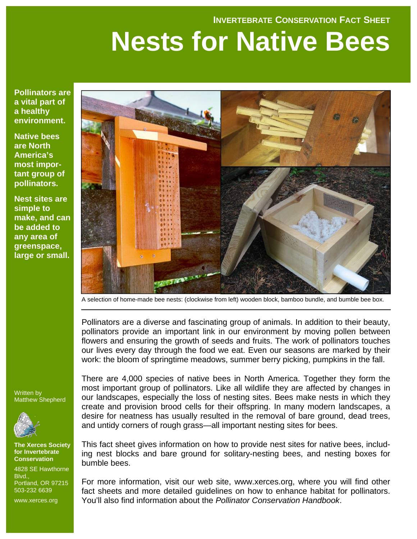#### **INVERTEBRATE CONSERVATION FACT SHEET**

# **Nests for Native Bees**

**Pollinators are a vital part of a healthy environment.** 

**Native bees are North America's most important group of pollinators.** 

**Nest sites are simple to make, and can be added to any area of greenspace, large or small.** 



A selection of home-made bee nests: (clockwise from left) wooden block, bamboo bundle, and bumble bee box.

Pollinators are a diverse and fascinating group of animals. In addition to their beauty, pollinators provide an important link in our environment by moving pollen between flowers and ensuring the growth of seeds and fruits. The work of pollinators touches our lives every day through the food we eat. Even our seasons are marked by their work: the bloom of springtime meadows, summer berry picking, pumpkins in the fall.

Written by Matthew Shepherd



**The Xerces Society for Invertebrate Conservation** 

4828 SE Hawthorne Blvd., Portland, OR 97215 503-232 6639

www.xerces.org

There are 4,000 species of native bees in North America. Together they form the most important group of pollinators. Like all wildlife they are affected by changes in our landscapes, especially the loss of nesting sites. Bees make nests in which they create and provision brood cells for their offspring. In many modern landscapes, a desire for neatness has usually resulted in the removal of bare ground, dead trees, and untidy corners of rough grass—all important nesting sites for bees.

This fact sheet gives information on how to provide nest sites for native bees, including nest blocks and bare ground for solitary-nesting bees, and nesting boxes for bumble bees.

For more information, visit our web site, www.xerces.org, where you will find other fact sheets and more detailed guidelines on how to enhance habitat for pollinators. You'll also find information about the *Pollinator Conservation Handbook*.